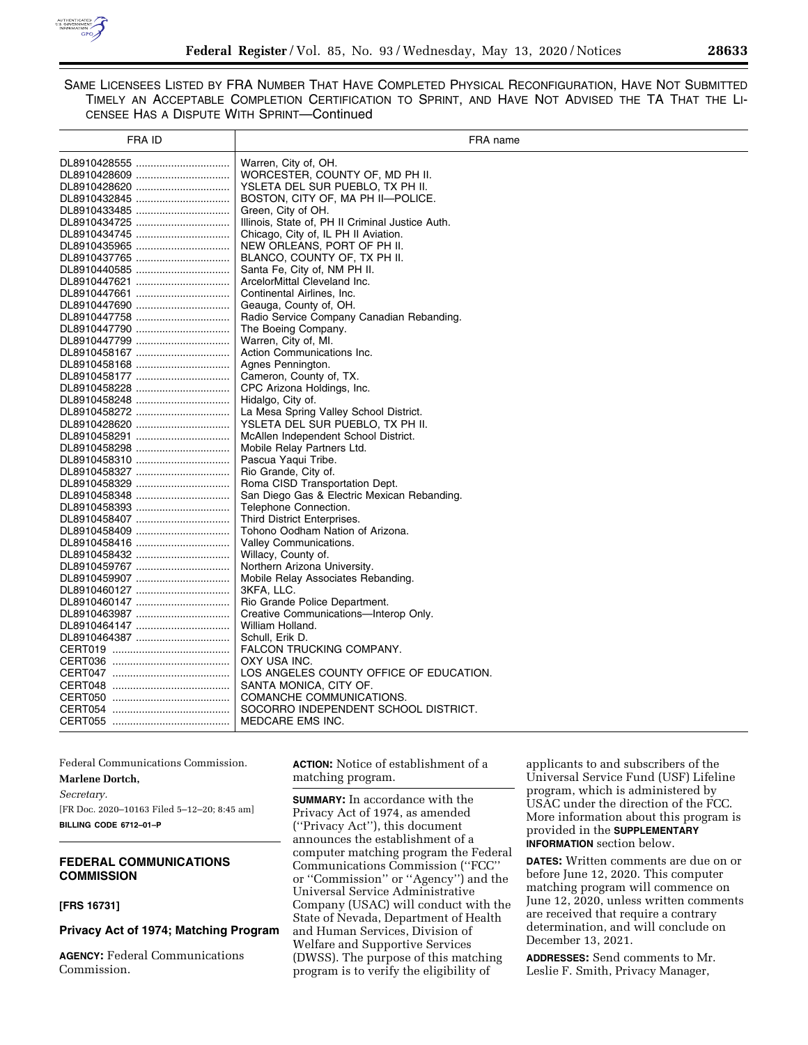

SAME LICENSEES LISTED BY FRA NUMBER THAT HAVE COMPLETED PHYSICAL RECONFIGURATION, HAVE NOT SUBMITTED TIMELY AN ACCEPTABLE COMPLETION CERTIFICATION TO SPRINT, AND HAVE NOT ADVISED THE TA THAT THE LI-CENSEE HAS A DISPUTE WITH SPRINT—Continued

| <b>FRA ID</b> | FRA name                                         |
|---------------|--------------------------------------------------|
|               | Warren, City of, OH.                             |
| DL8910428609  | WORCESTER, COUNTY OF, MD PH II.                  |
| DL8910428620  | YSLETA DEL SUR PUEBLO, TX PH II.                 |
| DL8910432845  | BOSTON, CITY OF, MA PH II-POLICE.                |
| DL8910433485  | Green, City of OH.                               |
| DL8910434725  | Illinois, State of, PH II Criminal Justice Auth. |
| DL8910434745  | Chicago, City of, IL PH II Aviation.             |
|               | NEW ORLEANS, PORT OF PH II.                      |
| DL8910437765  | BLANCO, COUNTY OF, TX PH II.                     |
|               | Santa Fe, City of, NM PH II.                     |
| DL8910447621  | ArcelorMittal Cleveland Inc.                     |
| DL8910447661  | Continental Airlines, Inc.                       |
| DL8910447690  | Geauga, County of, OH.                           |
|               | Radio Service Company Canadian Rebanding.        |
| DL8910447790  | The Boeing Company.                              |
|               | Warren, City of, MI.                             |
| DL8910458167  | Action Communications Inc.                       |
| DL8910458168  | Agnes Pennington.                                |
| DL8910458177  | Cameron, County of, TX.                          |
|               | CPC Arizona Holdings, Inc.                       |
|               | Hidalgo, City of.                                |
| DL8910458272  | La Mesa Spring Valley School District.           |
| DL8910428620  | YSLETA DEL SUR PUEBLO, TX PH II.                 |
| DL8910458291  | McAllen Independent School District.             |
|               | Mobile Relay Partners Ltd.                       |
| DL8910458310  | Pascua Yaqui Tribe.                              |
| DL8910458327  | Rio Grande, City of.                             |
| DL8910458329  | Roma CISD Transportation Dept.                   |
|               | San Diego Gas & Electric Mexican Rebanding.      |
| DL8910458393  | Telephone Connection.                            |
| DL8910458407  | Third District Enterprises.                      |
| DL8910458409  | Tohono Oodham Nation of Arizona.                 |
| DL8910458416  | Valley Communications.                           |
| DL8910458432  | Willacy, County of.                              |
| DL8910459767  | Northern Arizona University.                     |
|               | Mobile Relay Associates Rebanding.               |
| DL8910460127  | 3KFA, LLC.                                       |
| DL8910460147  | Rio Grande Police Department.                    |
| DL8910463987  | Creative Communications-Interop Only.            |
| DL8910464147  | William Holland.                                 |
| DL8910464387  | Schull, Erik D.                                  |
|               | FALCON TRUCKING COMPANY.                         |
|               | OXY USA INC.                                     |
|               | LOS ANGELES COUNTY OFFICE OF EDUCATION.          |
|               | SANTA MONICA, CITY OF.                           |
|               | COMANCHE COMMUNICATIONS.                         |
|               | SOCORRO INDEPENDENT SCHOOL DISTRICT.             |
|               | <b>MEDCARE EMS INC.</b>                          |
|               |                                                  |

Federal Communications Commission. **Marlene Dortch,**  *Secretary.*  [FR Doc. 2020–10163 Filed 5–12–20; 8:45 am] **BILLING CODE 6712–01–P** 

# **FEDERAL COMMUNICATIONS COMMISSION**

**[FRS 16731]** 

### **Privacy Act of 1974; Matching Program**

**AGENCY:** Federal Communications Commission.

**ACTION:** Notice of establishment of a matching program.

**SUMMARY:** In accordance with the Privacy Act of 1974, as amended (''Privacy Act''), this document announces the establishment of a computer matching program the Federal Communications Commission (''FCC'' or ''Commission'' or ''Agency'') and the Universal Service Administrative Company (USAC) will conduct with the State of Nevada, Department of Health and Human Services, Division of Welfare and Supportive Services (DWSS). The purpose of this matching program is to verify the eligibility of

applicants to and subscribers of the Universal Service Fund (USF) Lifeline program, which is administered by USAC under the direction of the FCC. More information about this program is provided in the **SUPPLEMENTARY INFORMATION** section below.

**DATES:** Written comments are due on or before June 12, 2020. This computer matching program will commence on June 12, 2020, unless written comments are received that require a contrary determination, and will conclude on December 13, 2021.

**ADDRESSES:** Send comments to Mr. Leslie F. Smith, Privacy Manager,